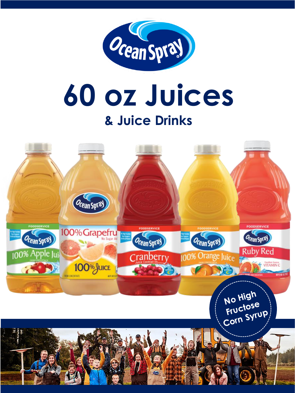

# 60 oz Juices & Juice Drinks